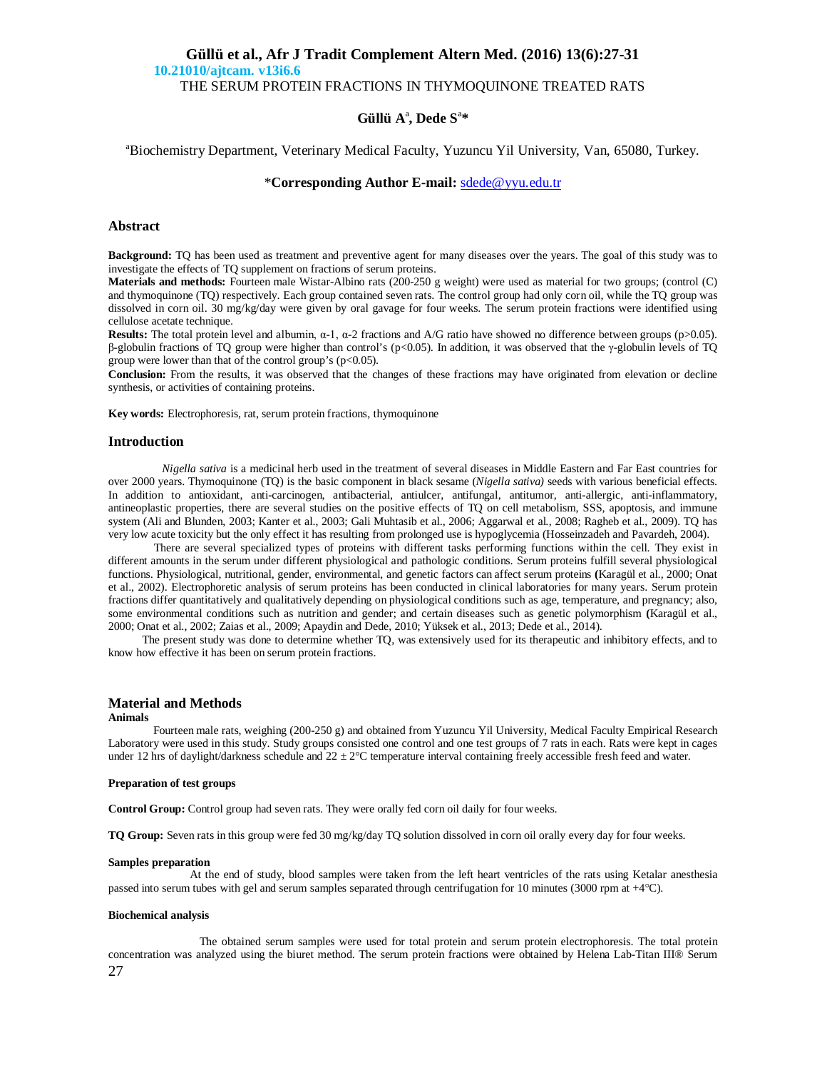## **Güllü et al., Afr J Tradit Complement Altern Med. (2016) 13(6):27-31 10.21010/ajtcam. v13i6.6** THE SERUM PROTEIN FRACTIONS IN THYMOQUINONE TREATED RATS

# **Güllü A**<sup>a</sup> **, Dede S**<sup>a</sup> **\***

## <sup>a</sup>Biochemistry Department, Veterinary Medical Faculty, Yuzuncu Yil University, Van, 65080, Turkey.

## \***Corresponding Author E-mail:** sdede@yyu.edu.tr

## **Abstract**

**Background:** TQ has been used as treatment and preventive agent for many diseases over the years. The goal of this study was to investigate the effects of TQ supplement on fractions of serum proteins.

**Materials and methods:** Fourteen male Wistar-Albino rats (200-250 g weight) were used as material for two groups; (control (C) and thymoquinone (TQ) respectively. Each group contained seven rats. The control group had only corn oil, while the TQ group was dissolved in corn oil. 30 mg/kg/day were given by oral gavage for four weeks. The serum protein fractions were identified using cellulose acetate technique.

**Results:** The total protein level and albumin, α-1, α-2 fractions and A/G ratio have showed no difference between groups (p>0.05). β-globulin fractions of TQ group were higher than control's (p<0.05). In addition, it was observed that the γ-globulin levels of TQ group were lower than that of the control group's  $(p<0.05)$ .

**Conclusion:** From the results, it was observed that the changes of these fractions may have originated from elevation or decline synthesis, or activities of containing proteins.

**Key words:** Electrophoresis, rat, serum protein fractions, thymoquinone

### **Introduction**

 *Nigella sativa* is a medicinal herb used in the treatment of several diseases in Middle Eastern and Far East countries for over 2000 years. Thymoquinone (TQ) is the basic component in black sesame (*Nigella sativa)* seeds with various beneficial effects. In addition to antioxidant, anti-carcinogen, antibacterial, antiulcer, antifungal, antitumor, anti-allergic, anti-inflammatory, antineoplastic properties, there are several studies on the positive effects of TQ on cell metabolism, SSS, apoptosis, and immune system (Ali and Blunden, 2003; Kanter et al., 2003; Gali Muhtasib et al., 2006; Aggarwal et al., 2008; Ragheb et al., 2009). TQ has very low acute toxicity but the only effect it has resulting from prolonged use is hypoglycemia (Hosseinzadeh and Pavardeh, 2004).

 There are several specialized types of proteins with different tasks performing functions within the cell. They exist in different amounts in the serum under different physiological and pathologic conditions. Serum proteins fulfill several physiological functions. Physiological, nutritional, gender, environmental, and genetic factors can affect serum proteins **(**Karagül et al., 2000; Onat et al., 2002). Electrophoretic analysis of serum proteins has been conducted in clinical laboratories for many years. Serum protein fractions differ quantitatively and qualitatively depending on physiological conditions such as age, temperature, and pregnancy; also, some environmental conditions such as nutrition and gender; and certain diseases such as genetic polymorphism **(**Karagül et al., 2000; Onat et al., 2002; Zaias et al., 2009; Apaydin and Dede, 2010; Yüksek et al., 2013; Dede et al., 2014).

 The present study was done to determine whether TQ, was extensively used for its therapeutic and inhibitory effects, and to know how effective it has been on serum protein fractions.

# **Material and Methods**

#### **Animals**

Fourteen male rats, weighing (200-250 g) and obtained from Yuzuncu Yil University, Medical Faculty Empirical Research Laboratory were used in this study. Study groups consisted one control and one test groups of 7 rats in each. Rats were kept in cages under 12 hrs of daylight/darkness schedule and  $22 \pm 2^{\circ}$ C temperature interval containing freely accessible fresh feed and water.

#### **Preparation of test groups**

**Control Group:** Control group had seven rats. They were orally fed corn oil daily for four weeks.

**TQ Group:** Seven rats in this group were fed 30 mg/kg/day TQ solution dissolved in corn oil orally every day for four weeks.

#### **Samples preparation**

 At the end of study, blood samples were taken from the left heart ventricles of the rats using Ketalar anesthesia passed into serum tubes with gel and serum samples separated through centrifugation for 10 minutes (3000 rpm at +4C).

#### **Biochemical analysis**

27 The obtained serum samples were used for total protein and serum protein electrophoresis. The total protein concentration was analyzed using the biuret method. The serum protein fractions were obtained by Helena Lab-Titan III® Serum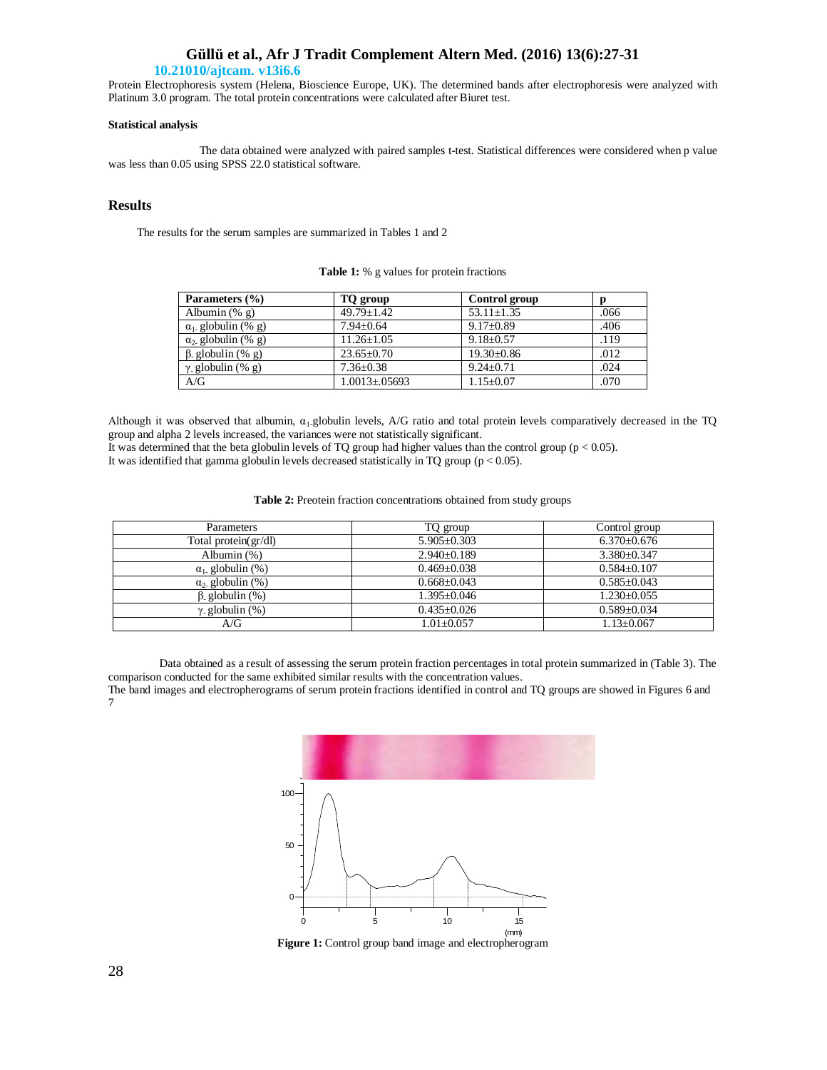## **Güllü et al., Afr J Tradit Complement Altern Med. (2016) 13(6):27-31**

## **10.21010/ajtcam. v13i6.6**

Protein Electrophoresis system (Helena, Bioscience Europe, UK). The determined bands after electrophoresis were analyzed with Platinum 3.0 program. The total protein concentrations were calculated after Biuret test.

## **Statistical analysis**

 The data obtained were analyzed with paired samples t-test. Statistical differences were considered when p value was less than 0.05 using SPSS 22.0 statistical software*.*

## **Results**

The results for the serum samples are summarized in Tables 1 and 2

| Parameters (%)            | TQ group             | Control group    | n    |
|---------------------------|----------------------|------------------|------|
| Albumin $(\% g)$          | $49.79 + 1.42$       | $53.11 \pm 1.35$ | .066 |
| $\alpha_1$ globulin (% g) | $7.94 \pm 0.64$      | $9.17 \pm 0.89$  | .406 |
| $\alpha_2$ globulin (% g) | $11.26 \pm 1.05$     | $9.18 \pm 0.57$  | .119 |
| $\beta$ globulin (% g)    | $23.65 \pm 0.70$     | $19.30 \pm 0.86$ | .012 |
| $\gamma$ globulin (% g)   | $7.36 \pm 0.38$      | $9.24 + 0.71$    | .024 |
| A/G                       | $1.0013 \pm 0.05693$ | $1.15 \pm 0.07$  | .070 |

Table 1: % g values for protein fractions

Although it was observed that albumin,  $\alpha_1$ -globulin levels, A/G ratio and total protein levels comparatively decreased in the TQ group and alpha 2 levels increased, the variances were not statistically significant. It was determined that the beta globulin levels of TQ group had higher values than the control group (p < 0.05).

It was identified that gamma globulin levels decreased statistically in TQ group (p < 0.05).

| Table 2: Preotein fraction concentrations obtained from study groups |  |  |
|----------------------------------------------------------------------|--|--|
|----------------------------------------------------------------------|--|--|

| <b>Parameters</b>       | TQ group          | Control group    |
|-------------------------|-------------------|------------------|
| Total protein(gr/dl)    | $5.905+0.303$     | $6.370\pm0.676$  |
| Albumin $(\%)$          | $2.940\pm0.189$   | $3.380 + 0.347$  |
| $\alpha_1$ globulin (%) | $0.469 + 0.038$   | $0.584 + 0.107$  |
| $\alpha_2$ globulin (%) | $0.668 + 0.043$   | $0.585 + 0.043$  |
| $\beta$ globulin $(\%)$ | $1.395 + 0.046$   | $1.230+0.055$    |
| $\gamma$ globulin (%)   | $0.435 \pm 0.026$ | $0.589 + 0.034$  |
| A/G                     | $1.01 + 0.057$    | $1.13 \pm 0.067$ |

 Data obtained as a result of assessing the serum protein fraction percentages in total protein summarized in (Table 3). The comparison conducted for the same exhibited similar results with the concentration values.

The band images and electropherograms of serum protein fractions identified in control and TQ groups are showed in Figures 6 and 7



**Figure 1:** Control group band image and electropherogram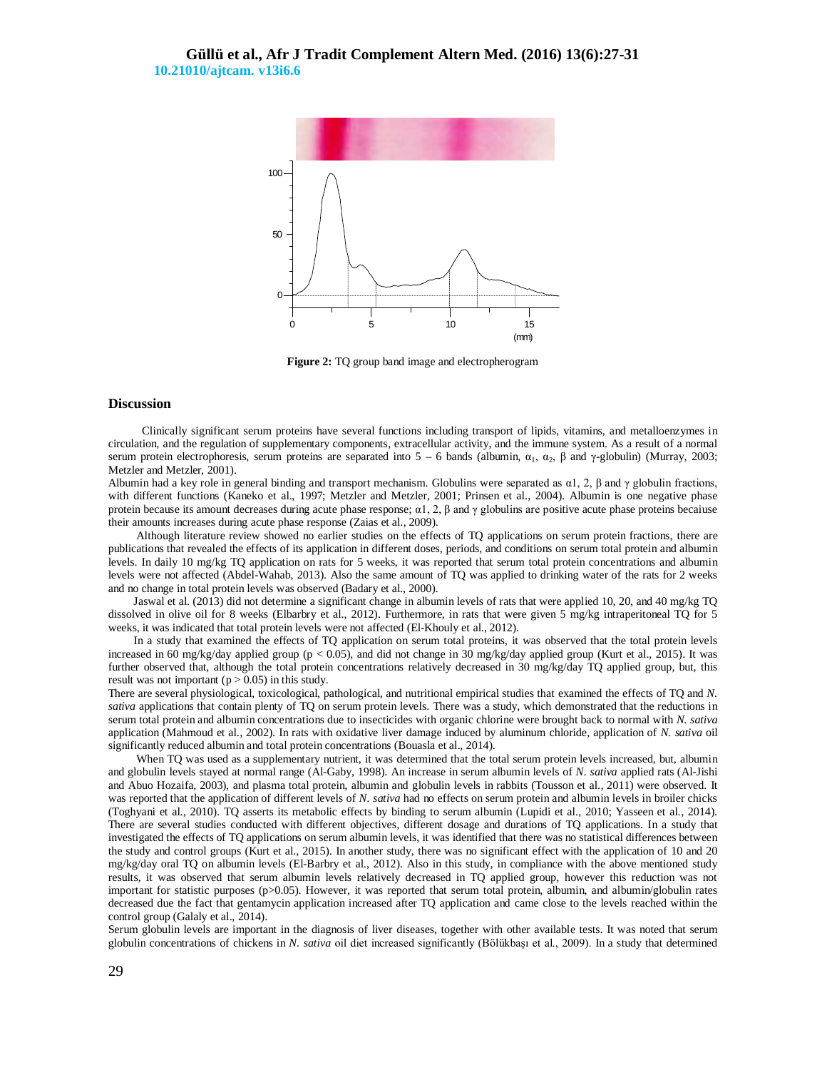

**Figure 2:** TQ group band image and electropherogram

#### **Discussion**

 Clinically significant serum proteins have several functions including transport of lipids, vitamins, and metalloenzymes in circulation, and the regulation of supplementary components, extracellular activity, and the immune system. As a result of a normal serum protein electrophoresis, serum proteins are separated into  $5 - 6$  bands (albumin,  $\alpha_1$ ,  $\alpha_2$ , β and γ-globulin) (Murray, 2003; Metzler and Metzler, 2001).

Albumin had a key role in general binding and transport mechanism. Globulins were separated as  $\alpha$ 1, 2,  $\beta$  and  $\gamma$  globulin fractions, with different functions (Kaneko et al., 1997; Metzler and Metzler, 2001; Prinsen et al., 2004). Albumin is one negative phase protein because its amount decreases during acute phase response;  $\alpha$ 1, 2, β and γ globulins are positive acute phase proteins becaiuse their amounts increases during acute phase response (Zaias et al., 2009).

 Although literature review showed no earlier studies on the effects of TQ applications on serum protein fractions, there are publications that revealed the effects of its application in different doses, periods, and conditions on serum total protein and albumin levels. In daily 10 mg/kg TQ application on rats for 5 weeks, it was reported that serum total protein concentrations and albumin levels were not affected (Abdel-Wahab, 2013). Also the same amount of TQ was applied to drinking water of the rats for 2 weeks and no change in total protein levels was observed (Badary et al., 2000).

 Jaswal et al. (2013) did not determine a significant change in albumin levels of rats that were applied 10, 20, and 40 mg/kg TQ dissolved in olive oil for 8 weeks (Elbarbry et al., 2012). Furthermore, in rats that were given 5 mg/kg intraperitoneal TQ for 5 weeks, it was indicated that total protein levels were not affected (El-Khouly et al., 2012).

 In a study that examined the effects of TQ application on serum total proteins, it was observed that the total protein levels increased in 60 mg/kg/day applied group (p < 0.05), and did not change in 30 mg/kg/day applied group (Kurt et al., 2015). It was further observed that, although the total protein concentrations relatively decreased in 30 mg/kg/day TQ applied group, but, this result was not important ( $p > 0.05$ ) in this study.

There are several physiological, toxicological, pathological, and nutritional empirical studies that examined the effects of TQ and *N. sativa* applications that contain plenty of TQ on serum protein levels. There was a study, which demonstrated that the reductions in serum total protein and albumin concentrations due to insecticides with organic chlorine were brought back to normal with *N. sativa* application (Mahmoud et al., 2002). In rats with oxidative liver damage induced by aluminum chloride, application of *N. sativa* oil significantly reduced albumin and total protein concentrations (Bouasla et al., 2014).

 When TQ was used as a supplementary nutrient, it was determined that the total serum protein levels increased, but, albumin and globulin levels stayed at normal range (Al-Gaby, 1998). An increase in serum albumin levels of *N. sativa* applied rats (Al-Jishi and Abuo Hozaifa, 2003), and plasma total protein, albumin and globulin levels in rabbits (Tousson et al., 2011) were observed. It was reported that the application of different levels of *N. sativa* had no effects on serum protein and albumin levels in broiler chicks (Toghyani et al., 2010). TQ asserts its metabolic effects by binding to serum albumin (Lupidi et al., 2010; Yasseen et al., 2014). There are several studies conducted with different objectives, different dosage and durations of TQ applications. In a study that investigated the effects of TQ applications on serum albumin levels, it was identified that there was no statistical differences between the study and control groups (Kurt et al., 2015). In another study, there was no significant effect with the application of 10 and 20 mg/kg/day oral TQ on albumin levels (El-Barbry et al., 2012). Also in this study, in compliance with the above mentioned study results, it was observed that serum albumin levels relatively decreased in TQ applied group, however this reduction was not important for statistic purposes (p>0.05). However, it was reported that serum total protein, albumin, and albumin/globulin rates decreased due the fact that gentamycin application increased after TQ application and came close to the levels reached within the control group (Galaly et al., 2014).

Serum globulin levels are important in the diagnosis of liver diseases, together with other available tests. It was noted that serum globulin concentrations of chickens in *N. sativa* oil diet increased significantly (Bölükbaşı et al., 2009). In a study that determined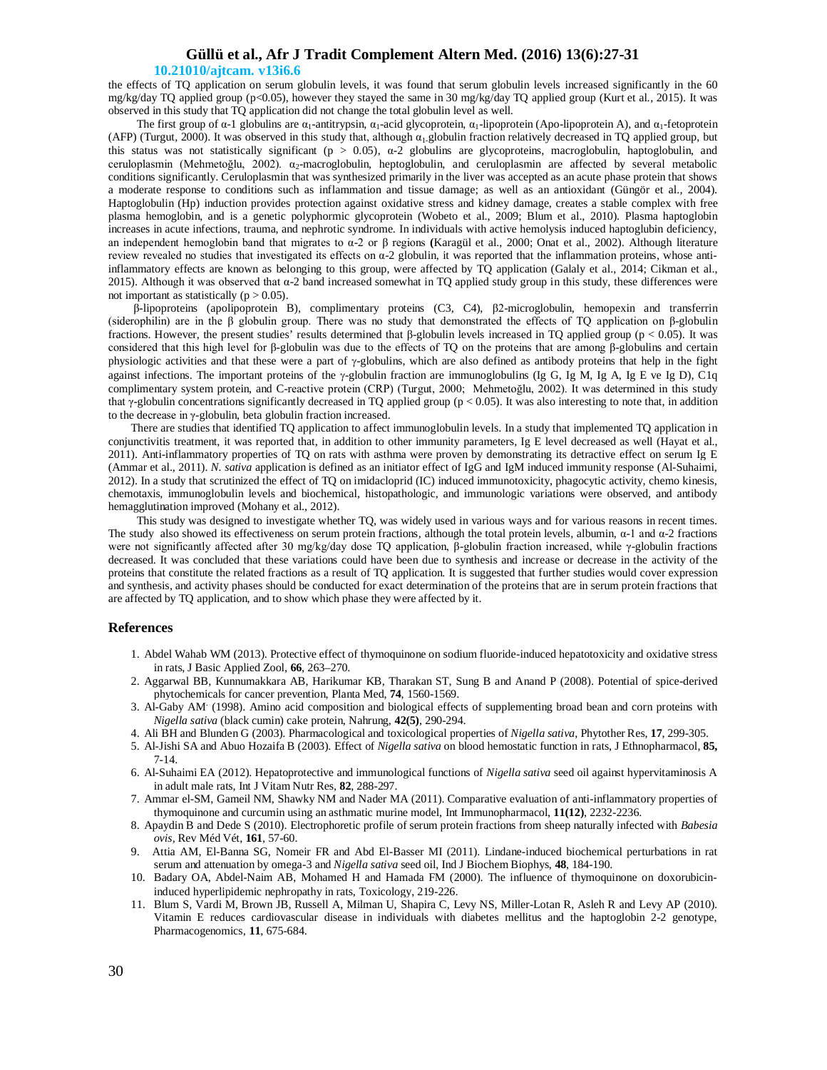## **Güllü et al., Afr J Tradit Complement Altern Med. (2016) 13(6):27-31**

### **10.21010/ajtcam. v13i6.6**

the effects of TQ application on serum globulin levels, it was found that serum globulin levels increased significantly in the 60 mg/kg/day TQ applied group (p<0.05), however they stayed the same in 30 mg/kg/day TQ applied group (Kurt et al., 2015). It was observed in this study that TQ application did not change the total globulin level as well.

The first group of  $\alpha$ -1 globulins are  $\alpha_1$ -antitrypsin,  $\alpha_1$ -acid glycoprotein,  $\alpha_1$ -lipoprotein (Apo-lipoprotein A), and  $\alpha_1$ -fetoprotein (AFP) (Turgut, 2000). It was observed in this study that, although  $\alpha_1$  globulin fraction relatively decreased in TQ applied group, but this status was not statistically significant ( $p > 0.05$ ),  $\alpha$ -2 globulins are glycoproteins, macroglobulin, haptoglobulin, and ceruloplasmin (Mehmetoğlu, 2002).  $\alpha_2$ -macroglobulin, heptoglobulin, and ceruloplasmin are affected by several metabolic conditions significantly. Ceruloplasmin that was synthesized primarily in the liver was accepted as an acute phase protein that shows a moderate response to conditions such as inflammation and tissue damage; as well as an antioxidant (Güngör et al., 2004). Haptoglobulin (Hp) induction provides protection against oxidative stress and kidney damage, creates a stable complex with free plasma hemoglobin, and is a genetic polyphormic glycoprotein (Wobeto et al., 2009; Blum et al., 2010). Plasma haptoglobin increases in acute infections, trauma, and nephrotic syndrome. In individuals with active hemolysis induced haptoglubin deficiency, an independent hemoglobin band that migrates to α-2 or β regions **(**Karagül et al., 2000; Onat et al., 2002). Although literature review revealed no studies that investigated its effects on α-2 globulin, it was reported that the inflammation proteins, whose antiinflammatory effects are known as belonging to this group, were affected by TQ application (Galaly et al., 2014; Cikman et al., 2015). Although it was observed that α-2 band increased somewhat in TQ applied study group in this study, these differences were not important as statistically ( $p > 0.05$ ).

 β-lipoproteins (apolipoprotein B), complimentary proteins (C3, C4), β2-microglobulin, hemopexin and transferrin (siderophilin) are in the β globulin group. There was no study that demonstrated the effects of TQ application on β-globulin fractions. However, the present studies' results determined that β-globulin levels increased in TQ applied group (p < 0.05). It was considered that this high level for β-globulin was due to the effects of TQ on the proteins that are among β-globulins and certain physiologic activities and that these were a part of  $\gamma$ -globulins, which are also defined as antibody proteins that help in the fight against infections. The important proteins of the  $\gamma$ -globulin fraction are immunoglobulins (Ig G, Ig M, Ig A, Ig E ve Ig D), C1q complimentary system protein, and C-reactive protein (CRP) (Turgut, 2000; Mehmetoğlu, 2002). It was determined in this study that  $\gamma$ -globulin concentrations significantly decreased in TQ applied group ( $p < 0.05$ ). It was also interesting to note that, in addition to the decrease in γ-globulin, beta globulin fraction increased.

 There are studies that identified TQ application to affect immunoglobulin levels. In a study that implemented TQ application in conjunctivitis treatment, it was reported that, in addition to other immunity parameters, Ig E level decreased as well (Hayat et al., 2011). Anti-inflammatory properties of TQ on rats with asthma were proven by demonstrating its detractive effect on serum Ig E (Ammar et al., 2011). *N. sativa* application is defined as an initiator effect of IgG and IgM induced immunity response (Al-Suhaimi, 2012). In a study that scrutinized the effect of TQ on imidacloprid (IC) induced immunotoxicity, phagocytic activity, chemo kinesis, chemotaxis, immunoglobulin levels and biochemical, histopathologic, and immunologic variations were observed, and antibody hemagglutination improved (Mohany et al., 2012).

 This study was designed to investigate whether TQ, was widely used in various ways and for various reasons in recent times. The study also showed its effectiveness on serum protein fractions, although the total protein levels, albumin, α-1 and α-2 fractions were not significantly affected after 30 mg/kg/day dose TQ application, β-globulin fraction increased, while γ-globulin fractions decreased. It was concluded that these variations could have been due to synthesis and increase or decrease in the activity of the proteins that constitute the related fractions as a result of TQ application. It is suggested that further studies would cover expression and synthesis, and activity phases should be conducted for exact determination of the proteins that are in serum protein fractions that are affected by TQ application, and to show which phase they were affected by it.

## **References**

- 1. Abdel Wahab WM (2013). Protective effect of thymoquinone on sodium fluoride-induced hepatotoxicity and oxidative stress in rats, J Basic Applied Zool, **66**, 263–270.
- 2. Aggarwal BB, Kunnumakkara AB, Harikumar KB, Tharakan ST, Sung B and Anand P (2008). Potential of spice-derived phytochemicals for cancer prevention, Planta Med, **74**, 1560-1569.
- 3. Al-Gaby AM. (1998). Amino acid composition and biological effects of supplementing broad bean and corn proteins with *Nigella sativa* (black cumin) cake protein, Nahrung, **42(5)**, 290-294.
- 4. Ali BH and Blunden G (2003). Pharmacological and toxicological properties of *Nigella sativa*, Phytother Res, **17**, 299-305.
- 5. Al-Jishi SA and Abuo Hozaifa B (2003). Effect of *Nigella sativa* on blood hemostatic function in rats, J Ethnopharmacol, **85,** 7-14.
- 6. Al-Suhaimi EA (2012). Hepatoprotective and immunological functions of *Nigella sativa* seed oil against hypervitaminosis A in adult male rats, Int J Vitam Nutr Res, **82**, 288-297.
- 7. Ammar el-SM, Gameil NM, Shawky NM and Nader MA (2011). Comparative evaluation of anti-inflammatory properties of thymoquinone and curcumin using an asthmatic murine model, Int Immunopharmacol, **11(12)**, 2232-2236.
- 8. Apaydin B and Dede S (2010). Electrophoretic profile of serum protein fractions from sheep naturally infected with *Babesia ovis,* Rev Méd Vét, **161**, 57-60.
- 9. Attia AM, El-Banna SG, Nomeir FR and Abd El-Basser MI (2011). Lindane-induced biochemical perturbations in rat serum and attenuation by omega-3 and *Nigella sativa* seed oil, Ind J Biochem Biophys, **48**, 184-190.
- 10. Badary OA, Abdel-Naim AB, Mohamed H and Hamada FM (2000). The influence of thymoquinone on doxorubicininduced hyperlipidemic nephropathy in rats, Toxicology, 219-226.
- 11. Blum S, Vardi M, Brown JB, Russell A, Milman U, Shapira C, Levy NS, Miller-Lotan R, Asleh R and Levy AP (2010). Vitamin E reduces cardiovascular disease in individuals with diabetes mellitus and the haptoglobin 2-2 genotype, Pharmacogenomics, **11**, 675-684.